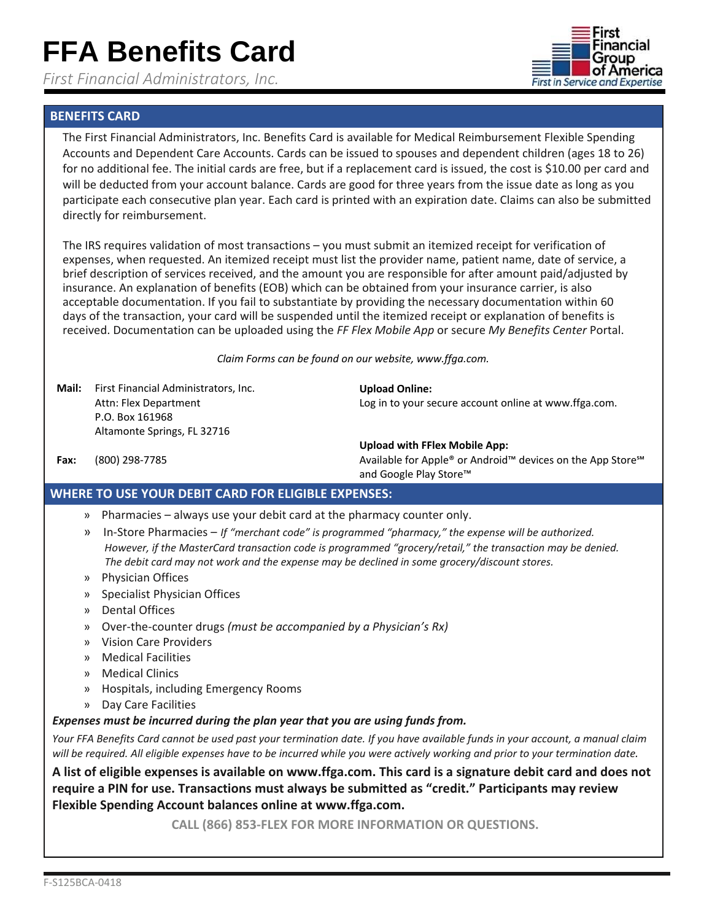*First Financial Administrators, Inc.* 



## **BENEFITS CARD**

The First Financial Administrators, Inc. Benefits Card is available for Medical Reimbursement Flexible Spending Accounts and Dependent Care Accounts. Cards can be issued to spouses and dependent children (ages 18 to 26) for no additional fee. The initial cards are free, but if a replacement card is issued, the cost is \$10.00 per card and will be deducted from your account balance. Cards are good for three years from the issue date as long as you participate each consecutive plan year. Each card is printed with an expiration date. Claims can also be submitted directly for reimbursement.

The IRS requires validation of most transactions – you must submit an itemized receipt for verification of expenses, when requested. An itemized receipt must list the provider name, patient name, date of service, a brief description of services received, and the amount you are responsible for after amount paid/adjusted by insurance. An explanation of benefits (EOB) which can be obtained from your insurance carrier, is also acceptable documentation. If you fail to substantiate by providing the necessary documentation within 60 days of the transaction, your card will be suspended until the itemized receipt or explanation of benefits is received. Documentation can be uploaded using the *FF Flex Mobile App* or secure *My Benefits Center* Portal.

*Claim Forms can be found on our website, www.ffga.com.*

**Upload Online:** 

**Mail:** First Financial Administrators, Inc. Attn: Flex Department P.O. Box 161968 Altamonte Springs, FL 32716

**Upload with FFlex Mobile App:**

**Fax:** (800) 298-7785 **Available for Apple® or Android™ devices on the App Store<sup>s M</sup>** and Google Play Store™

Log in to your secure account online at www.ffga.com.

## **WHERE TO USE YOUR DEBIT CARD FOR ELIGIBLE EXPENSES:**

- » Pharmacies always use your debit card at the pharmacy counter only.
- » In‐Store Pharmacies *If "merchant code" is programmed "pharmacy," the expense will be authorized. However, if the MasterCard transaction code is programmed "grocery/retail," the transaction may be denied. The debit card may not work and the expense may be declined in some grocery/discount stores.*
- » Physician Offices
- » Specialist Physician Offices
- » Dental Offices
- » Over‐the‐counter drugs *(must be accompanied by a Physician's Rx)*
- » Vision Care Providers
- » Medical Facilities
- » Medical Clinics
- » Hospitals, including Emergency Rooms
- » Day Care Facilities

## *Expenses must be incurred during the plan year that you are using funds from.*

Your FFA Benefits Card cannot be used past your termination date. If you have available funds in your account, a manual claim will be required. All eligible expenses have to be incurred while you were actively working and prior to your termination date.

**A list of eligible expenses is available on www.ffga.com. This card is a signature debit card and does not require a PIN for use. Transactions must always be submitted as "credit." Participants may review Flexible Spending Account balances online at www.ffga.com.**

**CALL (866) 853-FLEX FOR MORE INFORMATION OR QUESTIONS.**